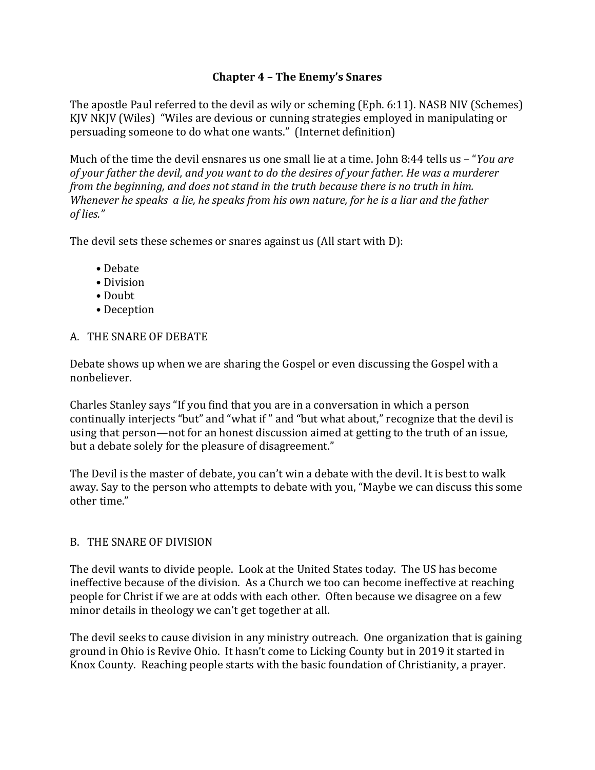## **Chapter 4 – The Enemy's Snares**

The apostle Paul referred to the devil as wily or scheming (Eph. 6:11). NASB NIV (Schemes) KJV NKJV (Wiles) "Wiles are devious or cunning strategies employed in manipulating or persuading someone to do what one wants." (Internet definition)

Much of the time the devil ensnares us one small lie at a time. John 8:44 tells us – "*You are of your father the devil, and you want to do the desires of your father. He was a murderer from the beginning, and does not stand in the truth because there is no truth in him. Whenever he speaks a lie, he speaks from his own nature, for he is a liar and the father of lies."*

The devil sets these schemes or snares against us (All start with D):

- Debate
- Division
- Doubt
- Deception

## A. THE SNARE OF DEBATE

Debate shows up when we are sharing the Gospel or even discussing the Gospel with a nonbeliever.

Charles Stanley says "If you find that you are in a conversation in which a person continually interjects "but" and "what if " and "but what about," recognize that the devil is using that person—not for an honest discussion aimed at getting to the truth of an issue, but a debate solely for the pleasure of disagreement."

The Devil is the master of debate, you can't win a debate with the devil. It is best to walk away. Say to the person who attempts to debate with you, "Maybe we can discuss this some other time."

## B. THE SNARE OF DIVISION

The devil wants to divide people. Look at the United States today. The US has become ineffective because of the division. As a Church we too can become ineffective at reaching people for Christ if we are at odds with each other. Often because we disagree on a few minor details in theology we can't get together at all.

The devil seeks to cause division in any ministry outreach. One organization that is gaining ground in Ohio is Revive Ohio. It hasn't come to Licking County but in 2019 it started in Knox County. Reaching people starts with the basic foundation of Christianity, a prayer.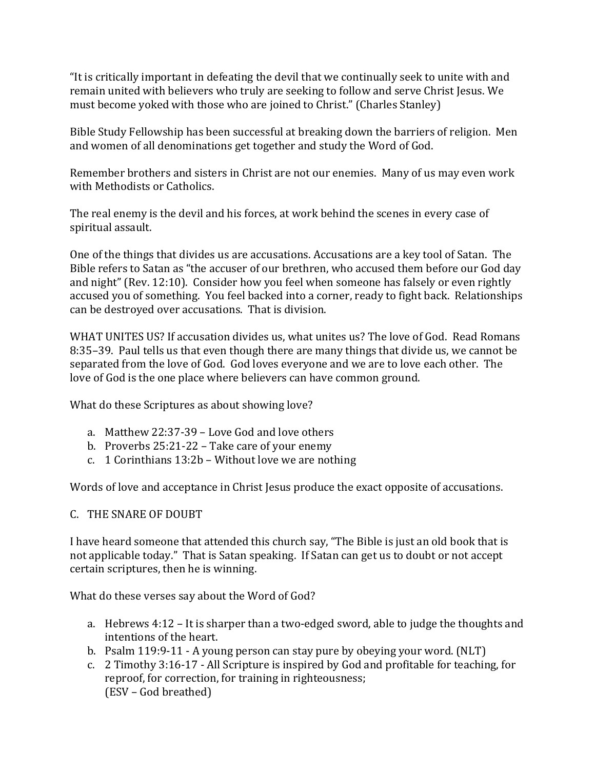"It is critically important in defeating the devil that we continually seek to unite with and remain united with believers who truly are seeking to follow and serve Christ Jesus. We must become yoked with those who are joined to Christ." (Charles Stanley)

Bible Study Fellowship has been successful at breaking down the barriers of religion. Men and women of all denominations get together and study the Word of God.

Remember brothers and sisters in Christ are not our enemies. Many of us may even work with Methodists or Catholics.

The real enemy is the devil and his forces, at work behind the scenes in every case of spiritual assault.

One of the things that divides us are accusations. Accusations are a key tool of Satan. The Bible refers to Satan as "the accuser of our brethren, who accused them before our God day and night" (Rev. 12:10). Consider how you feel when someone has falsely or even rightly accused you of something. You feel backed into a corner, ready to fight back. Relationships can be destroyed over accusations. That is division.

WHAT UNITES US? If accusation divides us, what unites us? The love of God. Read Romans 8:35–39. Paul tells us that even though there are many things that divide us, we cannot be separated from the love of God. God loves everyone and we are to love each other. The love of God is the one place where believers can have common ground.

What do these Scriptures as about showing love?

- a. Matthew 22:37-39 Love God and love others
- b. Proverbs 25:21-22 Take care of your enemy
- c. 1 Corinthians 13:2b Without love we are nothing

Words of love and acceptance in Christ Jesus produce the exact opposite of accusations.

## C. THE SNARE OF DOUBT

I have heard someone that attended this church say, "The Bible is just an old book that is not applicable today." That is Satan speaking. If Satan can get us to doubt or not accept certain scriptures, then he is winning.

What do these verses say about the Word of God?

- a. Hebrews 4:12 It is sharper than a two-edged sword, able to judge the thoughts and intentions of the heart.
- b. Psalm 119:9-11 A young person can stay pure by obeying your word. (NLT)
- c. 2 Timothy 3:16-17 All Scripture is inspired by God and profitable for teaching, for reproof, for correction, for training in righteousness; (ESV – God breathed)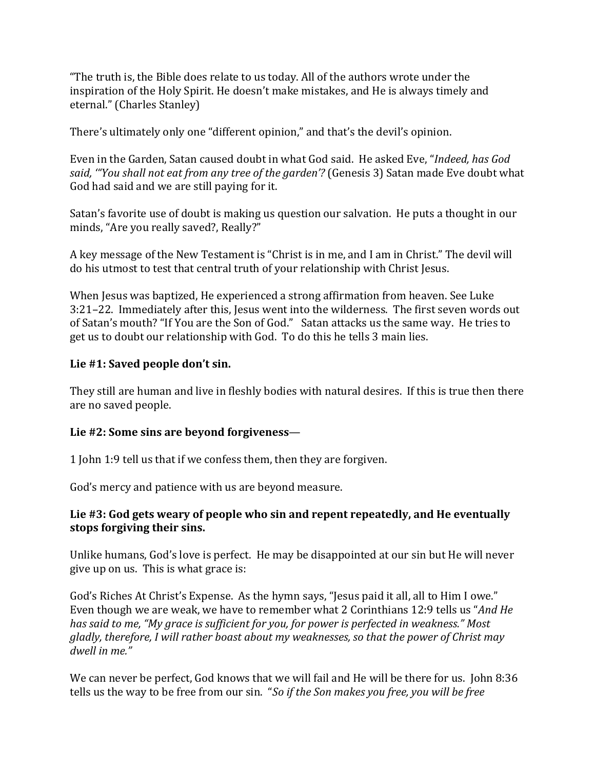"The truth is, the Bible does relate to us today. All of the authors wrote under the inspiration of the Holy Spirit. He doesn't make mistakes, and He is always timely and eternal." (Charles Stanley)

There's ultimately only one "different opinion," and that's the devil's opinion.

Even in the Garden, Satan caused doubt in what God said. He asked Eve, "*Indeed, has God said, '"You shall not eat from any tree of the garden'?* (Genesis 3) Satan made Eve doubt what God had said and we are still paying for it.

Satan's favorite use of doubt is making us question our salvation. He puts a thought in our minds, "Are you really saved?, Really?"

A key message of the New Testament is "Christ is in me, and I am in Christ." The devil will do his utmost to test that central truth of your relationship with Christ Jesus.

When Jesus was baptized, He experienced a strong affirmation from heaven. See Luke 3:21–22. Immediately after this, Jesus went into the wilderness. The first seven words out of Satan's mouth? "If You are the Son of God." Satan attacks us the same way. He tries to get us to doubt our relationship with God. To do this he tells 3 main lies.

## **Lie #1: Saved people don't sin.**

They still are human and live in fleshly bodies with natural desires. If this is true then there are no saved people.

## **Lie #2: Some sins are beyond forgiveness**—

1 John 1:9 tell us that if we confess them, then they are forgiven.

God's mercy and patience with us are beyond measure.

## **Lie #3: God gets weary of people who sin and repent repeatedly, and He eventually stops forgiving their sins.**

Unlike humans, God's love is perfect. He may be disappointed at our sin but He will never give up on us. This is what grace is:

God's Riches At Christ's Expense. As the hymn says, "Jesus paid it all, all to Him I owe." Even though we are weak, we have to remember what 2 Corinthians 12:9 tells us "*And He has said to me, "My grace is sufficient for you, for power is perfected in weakness." Most gladly, therefore, I will rather boast about my weaknesses, so that the power of Christ may dwell in me."* 

We can never be perfect, God knows that we will fail and He will be there for us. John 8:36 tells us the way to be free from our sin. "*So if the Son makes you free, you will be free*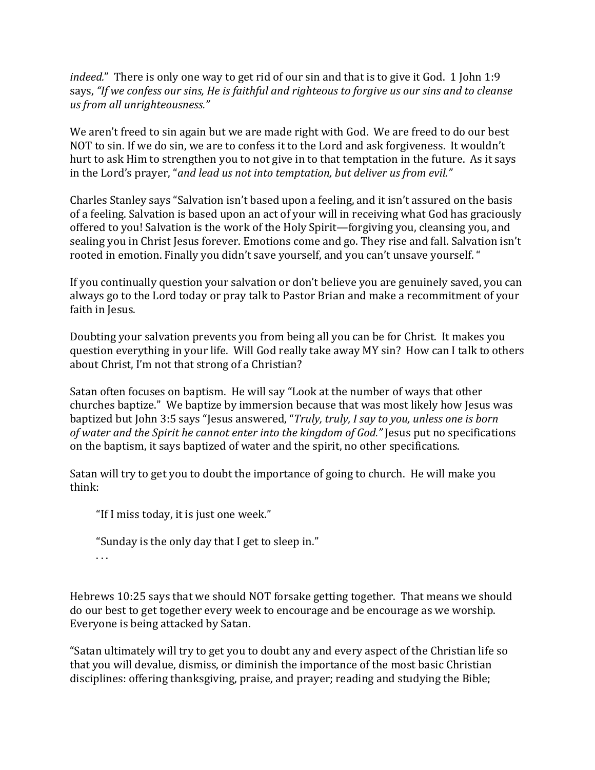*indeed.*" There is only one way to get rid of our sin and that is to give it God. 1 John 1:9 says, *"If we confess our sins, He is faithful and righteous to forgive us our sins and to cleanse us from all unrighteousness."* 

We aren't freed to sin again but we are made right with God. We are freed to do our best NOT to sin. If we do sin, we are to confess it to the Lord and ask forgiveness. It wouldn't hurt to ask Him to strengthen you to not give in to that temptation in the future. As it says in the Lord's prayer, "*and lead us not into temptation, but deliver us from evil."* 

Charles Stanley says "Salvation isn't based upon a feeling, and it isn't assured on the basis of a feeling. Salvation is based upon an act of your will in receiving what God has graciously offered to you! Salvation is the work of the Holy Spirit—forgiving you, cleansing you, and sealing you in Christ Jesus forever. Emotions come and go. They rise and fall. Salvation isn't rooted in emotion. Finally you didn't save yourself, and you can't unsave yourself. "

If you continually question your salvation or don't believe you are genuinely saved, you can always go to the Lord today or pray talk to Pastor Brian and make a recommitment of your faith in Jesus.

Doubting your salvation prevents you from being all you can be for Christ. It makes you question everything in your life. Will God really take away MY sin? How can I talk to others about Christ, I'm not that strong of a Christian?

Satan often focuses on baptism. He will say "Look at the number of ways that other churches baptize." We baptize by immersion because that was most likely how Jesus was baptized but John 3:5 says "Jesus answered, "*Truly, truly, I say to you, unless one is born of water and the Spirit he cannot enter into the kingdom of God."* Jesus put no specifications on the baptism, it says baptized of water and the spirit, no other specifications.

Satan will try to get you to doubt the importance of going to church. He will make you think:

"If I miss today, it is just one week."

"Sunday is the only day that I get to sleep in."

. . .

Hebrews 10:25 says that we should NOT forsake getting together. That means we should do our best to get together every week to encourage and be encourage as we worship. Everyone is being attacked by Satan.

"Satan ultimately will try to get you to doubt any and every aspect of the Christian life so that you will devalue, dismiss, or diminish the importance of the most basic Christian disciplines: offering thanksgiving, praise, and prayer; reading and studying the Bible;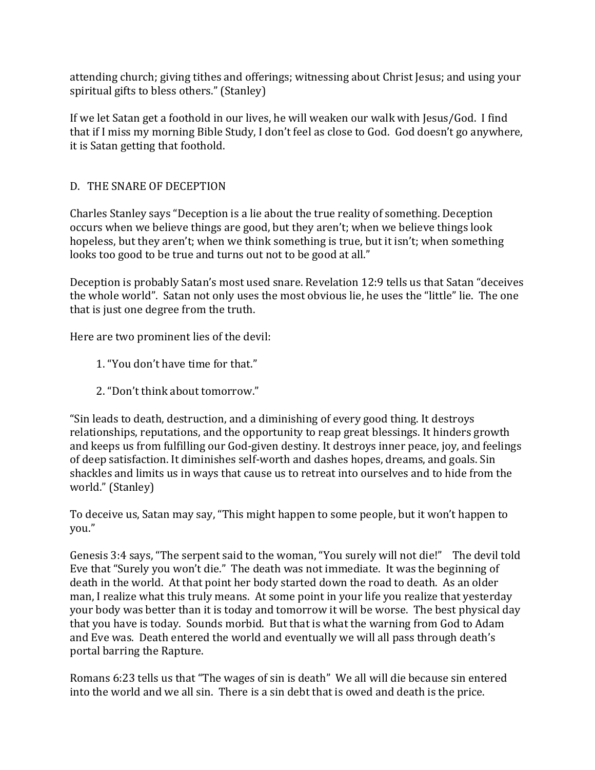attending church; giving tithes and offerings; witnessing about Christ Jesus; and using your spiritual gifts to bless others." (Stanley)

If we let Satan get a foothold in our lives, he will weaken our walk with Jesus/God. I find that if I miss my morning Bible Study, I don't feel as close to God. God doesn't go anywhere, it is Satan getting that foothold.

# D. THE SNARE OF DECEPTION

Charles Stanley says "Deception is a lie about the true reality of something. Deception occurs when we believe things are good, but they aren't; when we believe things look hopeless, but they aren't; when we think something is true, but it isn't; when something looks too good to be true and turns out not to be good at all."

Deception is probably Satan's most used snare. Revelation 12:9 tells us that Satan "deceives the whole world". Satan not only uses the most obvious lie, he uses the "little" lie. The one that is just one degree from the truth.

Here are two prominent lies of the devil:

- 1. "You don't have time for that."
- 2. "Don't think about tomorrow."

"Sin leads to death, destruction, and a diminishing of every good thing. It destroys relationships, reputations, and the opportunity to reap great blessings. It hinders growth and keeps us from fulfilling our God-given destiny. It destroys inner peace, joy, and feelings of deep satisfaction. It diminishes self-worth and dashes hopes, dreams, and goals. Sin shackles and limits us in ways that cause us to retreat into ourselves and to hide from the world." (Stanley)

To deceive us, Satan may say, "This might happen to some people, but it won't happen to you."

Genesis 3:4 says, "The serpent said to the woman, "You surely will not die!" The devil told Eve that "Surely you won't die." The death was not immediate. It was the beginning of death in the world. At that point her body started down the road to death. As an older man, I realize what this truly means. At some point in your life you realize that yesterday your body was better than it is today and tomorrow it will be worse. The best physical day that you have is today. Sounds morbid. But that is what the warning from God to Adam and Eve was. Death entered the world and eventually we will all pass through death's portal barring the Rapture.

Romans 6:23 tells us that "The wages of sin is death" We all will die because sin entered into the world and we all sin. There is a sin debt that is owed and death is the price.